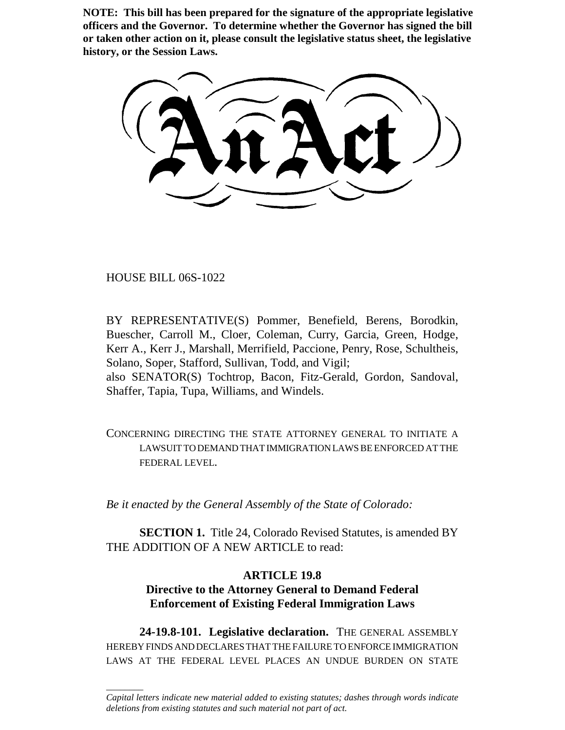**NOTE: This bill has been prepared for the signature of the appropriate legislative officers and the Governor. To determine whether the Governor has signed the bill or taken other action on it, please consult the legislative status sheet, the legislative history, or the Session Laws.**

HOUSE BILL 06S-1022

 $\overline{\phantom{a}}$ 

BY REPRESENTATIVE(S) Pommer, Benefield, Berens, Borodkin, Buescher, Carroll M., Cloer, Coleman, Curry, Garcia, Green, Hodge, Kerr A., Kerr J., Marshall, Merrifield, Paccione, Penry, Rose, Schultheis, Solano, Soper, Stafford, Sullivan, Todd, and Vigil; also SENATOR(S) Tochtrop, Bacon, Fitz-Gerald, Gordon, Sandoval, Shaffer, Tapia, Tupa, Williams, and Windels.

CONCERNING DIRECTING THE STATE ATTORNEY GENERAL TO INITIATE A LAWSUIT TO DEMAND THAT IMMIGRATION LAWS BE ENFORCED AT THE FEDERAL LEVEL.

*Be it enacted by the General Assembly of the State of Colorado:*

**SECTION 1.** Title 24, Colorado Revised Statutes, is amended BY THE ADDITION OF A NEW ARTICLE to read:

## **ARTICLE 19.8**

## **Directive to the Attorney General to Demand Federal Enforcement of Existing Federal Immigration Laws**

**24-19.8-101. Legislative declaration.** THE GENERAL ASSEMBLY HEREBY FINDS AND DECLARES THAT THE FAILURE TO ENFORCE IMMIGRATION LAWS AT THE FEDERAL LEVEL PLACES AN UNDUE BURDEN ON STATE

*Capital letters indicate new material added to existing statutes; dashes through words indicate deletions from existing statutes and such material not part of act.*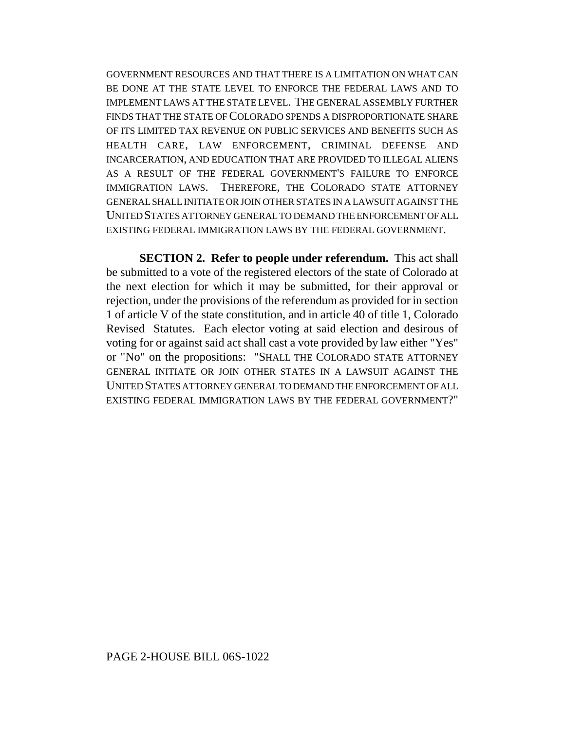GOVERNMENT RESOURCES AND THAT THERE IS A LIMITATION ON WHAT CAN BE DONE AT THE STATE LEVEL TO ENFORCE THE FEDERAL LAWS AND TO IMPLEMENT LAWS AT THE STATE LEVEL. THE GENERAL ASSEMBLY FURTHER FINDS THAT THE STATE OF COLORADO SPENDS A DISPROPORTIONATE SHARE OF ITS LIMITED TAX REVENUE ON PUBLIC SERVICES AND BENEFITS SUCH AS HEALTH CARE, LAW ENFORCEMENT, CRIMINAL DEFENSE AND INCARCERATION, AND EDUCATION THAT ARE PROVIDED TO ILLEGAL ALIENS AS A RESULT OF THE FEDERAL GOVERNMENT'S FAILURE TO ENFORCE IMMIGRATION LAWS. THEREFORE, THE COLORADO STATE ATTORNEY GENERAL SHALL INITIATE OR JOIN OTHER STATES IN A LAWSUIT AGAINST THE UNITED STATES ATTORNEY GENERAL TO DEMAND THE ENFORCEMENT OF ALL EXISTING FEDERAL IMMIGRATION LAWS BY THE FEDERAL GOVERNMENT.

**SECTION 2. Refer to people under referendum.** This act shall be submitted to a vote of the registered electors of the state of Colorado at the next election for which it may be submitted, for their approval or rejection, under the provisions of the referendum as provided for in section 1 of article V of the state constitution, and in article 40 of title 1, Colorado Revised Statutes. Each elector voting at said election and desirous of voting for or against said act shall cast a vote provided by law either "Yes" or "No" on the propositions: "SHALL THE COLORADO STATE ATTORNEY GENERAL INITIATE OR JOIN OTHER STATES IN A LAWSUIT AGAINST THE UNITED STATES ATTORNEY GENERAL TO DEMAND THE ENFORCEMENT OF ALL EXISTING FEDERAL IMMIGRATION LAWS BY THE FEDERAL GOVERNMENT?"